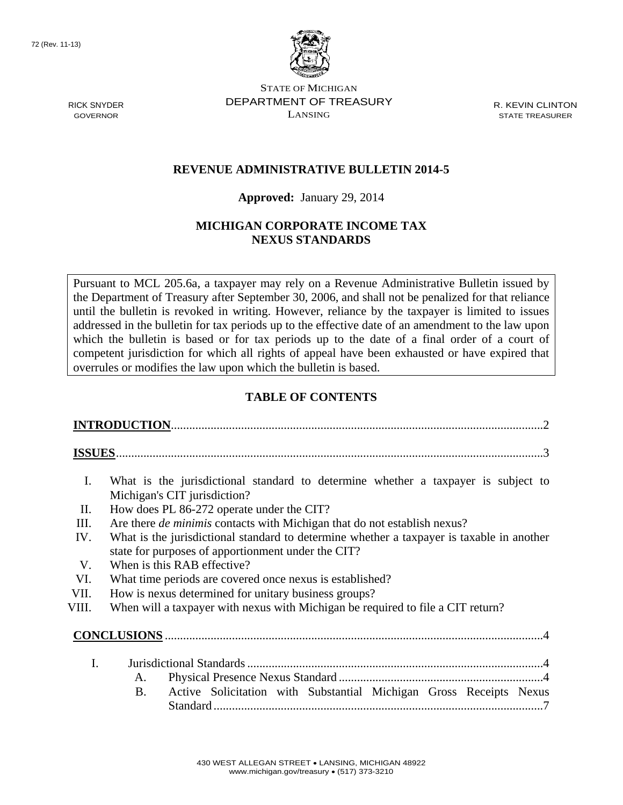72 (Rev. 11-13)



STATE OF MICHIGAN RICK SNYDER **DEPARTMENT OF TREASURY** R. KEVIN CLINTON GOVERNOR LANSING STATE TREASURER

# **REVENUE ADMINISTRATIVE BULLETIN 2014-5**

### **Approved:** January 29, 2014

# **MICHIGAN CORPORATE INCOME TAX NEXUS STANDARDS**

Pursuant to MCL 205.6a, a taxpayer may rely on a Revenue Administrative Bulletin issued by the Department of Treasury after September 30, 2006, and shall not be penalized for that reliance until the bulletin is revoked in writing. However, reliance by the taxpayer is limited to issues addressed in the bulletin for tax periods up to the effective date of an amendment to the law upon which the bulletin is based or for tax periods up to the date of a final order of a court of competent jurisdiction for which all rights of appeal have been exhausted or have expired that overrules or modifies the law upon which the bulletin is based.

# **TABLE OF CONTENTS**

| I.    | What is the jurisdictional standard to determine whether a taxpayer is subject to<br>Michigan's CIT jurisdiction?                               |  |  |  |
|-------|-------------------------------------------------------------------------------------------------------------------------------------------------|--|--|--|
| II.   | How does PL 86-272 operate under the CIT?                                                                                                       |  |  |  |
| III.  | Are there <i>de minimis</i> contacts with Michigan that do not establish nexus?                                                                 |  |  |  |
| IV.   | What is the jurisdictional standard to determine whether a taxpayer is taxable in another<br>state for purposes of apportionment under the CIT? |  |  |  |
| V.    | When is this RAB effective?                                                                                                                     |  |  |  |
| VI.   | What time periods are covered once nexus is established?                                                                                        |  |  |  |
| VII.  | How is nexus determined for unitary business groups?                                                                                            |  |  |  |
| VIII. | When will a taxpayer with nexus with Michigan be required to file a CIT return?                                                                 |  |  |  |
|       |                                                                                                                                                 |  |  |  |
| I.    |                                                                                                                                                 |  |  |  |
|       | A.                                                                                                                                              |  |  |  |
|       | Active Solicitation with Substantial Michigan Gross Receipts Nexus<br>B.                                                                        |  |  |  |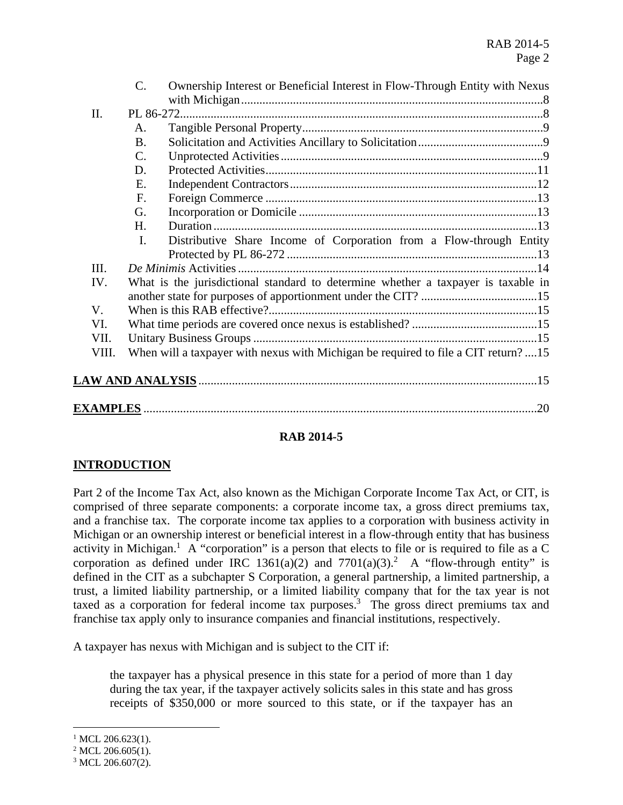|  |       | C.              | Ownership Interest or Beneficial Interest in Flow-Through Entity with Nexus        |  |  |  |
|--|-------|-----------------|------------------------------------------------------------------------------------|--|--|--|
|  | II.   |                 |                                                                                    |  |  |  |
|  |       | A.              |                                                                                    |  |  |  |
|  |       | <b>B.</b>       |                                                                                    |  |  |  |
|  |       | $\mathcal{C}$ . |                                                                                    |  |  |  |
|  |       | D.              |                                                                                    |  |  |  |
|  |       | Е.              |                                                                                    |  |  |  |
|  |       | F.              |                                                                                    |  |  |  |
|  |       | G.              |                                                                                    |  |  |  |
|  |       | H.              |                                                                                    |  |  |  |
|  |       | $\mathbf{I}$ .  | Distributive Share Income of Corporation from a Flow-through Entity                |  |  |  |
|  |       |                 |                                                                                    |  |  |  |
|  | III.  |                 |                                                                                    |  |  |  |
|  | IV.   |                 | What is the jurisdictional standard to determine whether a taxpayer is taxable in  |  |  |  |
|  |       |                 |                                                                                    |  |  |  |
|  | V.    |                 |                                                                                    |  |  |  |
|  | VI.   |                 |                                                                                    |  |  |  |
|  | VII.  |                 |                                                                                    |  |  |  |
|  | VIII. |                 | When will a taxpayer with nexus with Michigan be required to file a CIT return? 15 |  |  |  |
|  |       |                 |                                                                                    |  |  |  |
|  |       |                 |                                                                                    |  |  |  |
|  | .20   |                 |                                                                                    |  |  |  |
|  |       |                 |                                                                                    |  |  |  |

## **RAB 2014-5**

## **INTRODUCTION**

Part 2 of the Income Tax Act, also known as the Michigan Corporate Income Tax Act, or CIT, is comprised of three separate components: a corporate income tax, a gross direct premiums tax, and a franchise tax. The corporate income tax applies to a corporation with business activity in Michigan or an ownership interest or beneficial interest in a flow-through entity that has business activity in Michigan.<sup>1</sup> A "corporation" is a person that elects to file or is required to file as a C corporation as defined under IRC 1361(a)(2) and 7701(a)(3).<sup>2</sup> A "flow-through entity" is defined in the CIT as a subchapter S Corporation, a general partnership, a limited partnership, a trust, a limited liability partnership, or a limited liability company that for the tax year is not taxed as a corporation for federal income tax purposes.<sup>3</sup> The gross direct premiums tax and franchise tax apply only to insurance companies and financial institutions, respectively.

A taxpayer has nexus with Michigan and is subject to the CIT if:

the taxpayer has a physical presence in this state for a period of more than 1 day during the tax year, if the taxpayer actively solicits sales in this state and has gross receipts of \$350,000 or more sourced to this state, or if the taxpayer has an

1

 $1$  MCL 206.623(1).

 $2$  MCL 206.605(1).

 $3$  MCL 206.607(2).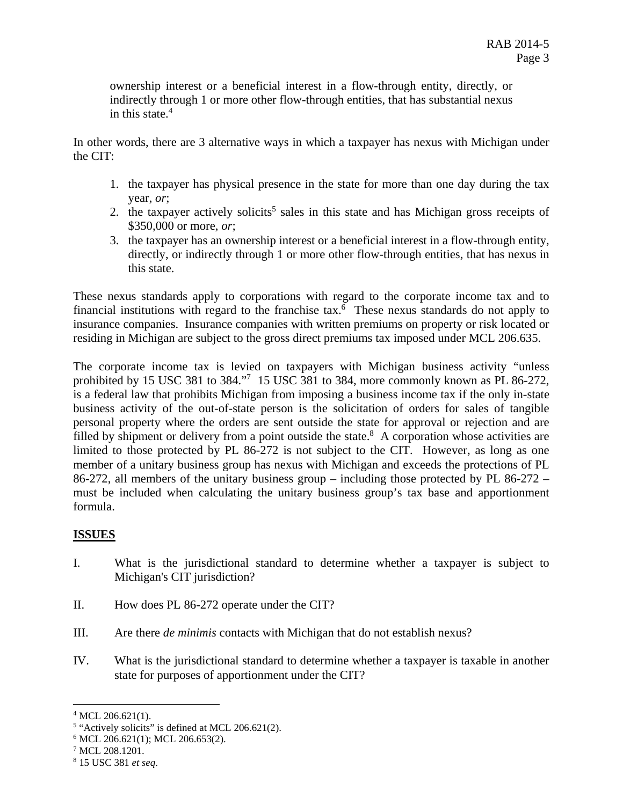ownership interest or a beneficial interest in a flow-through entity, directly, or indirectly through 1 or more other flow-through entities, that has substantial nexus in this state. $4$ 

In other words, there are 3 alternative ways in which a taxpayer has nexus with Michigan under the CIT:

- 1. the taxpayer has physical presence in the state for more than one day during the tax year, *or*;
- 2. the taxpayer actively solicits<sup>5</sup> sales in this state and has Michigan gross receipts of \$350,000 or more, *or*;
- 3. the taxpayer has an ownership interest or a beneficial interest in a flow-through entity, directly, or indirectly through 1 or more other flow-through entities, that has nexus in this state.

These nexus standards apply to corporations with regard to the corporate income tax and to financial institutions with regard to the franchise tax.<sup>6</sup> These nexus standards do not apply to insurance companies. Insurance companies with written premiums on property or risk located or residing in Michigan are subject to the gross direct premiums tax imposed under MCL 206.635.

The corporate income tax is levied on taxpayers with Michigan business activity "unless prohibited by 15 USC 381 to 384."<sup>7</sup> 15 USC 381 to 384, more commonly known as PL 86-272, is a federal law that prohibits Michigan from imposing a business income tax if the only in-state business activity of the out-of-state person is the solicitation of orders for sales of tangible personal property where the orders are sent outside the state for approval or rejection and are filled by shipment or delivery from a point outside the state. $8$  A corporation whose activities are limited to those protected by PL 86-272 is not subject to the CIT. However, as long as one member of a unitary business group has nexus with Michigan and exceeds the protections of PL 86-272, all members of the unitary business group – including those protected by PL 86-272 – must be included when calculating the unitary business group's tax base and apportionment formula.

# **ISSUES**

- Michigan's CIT jurisdiction? I. What is the jurisdictional standard to determine whether a taxpayer is subject to
- II. How does PL 86-272 operate under the CIT?
- III. Are there *de minimis* contacts with Michigan that do not establish nexus?
- state for purposes of apportionment under the CIT? IV. What is the jurisdictional standard to determine whether a taxpayer is taxable in another

<sup>&</sup>lt;sup>4</sup> MCL 206.621(1).

<sup>&</sup>lt;sup>5</sup> "Actively solicits" is defined at MCL 206.621(2).

<sup>6</sup> MCL 206.621(1); MCL 206.653(2).

<sup>7</sup> MCL 208.1201.

<sup>8 15</sup> USC 381 *et seq*.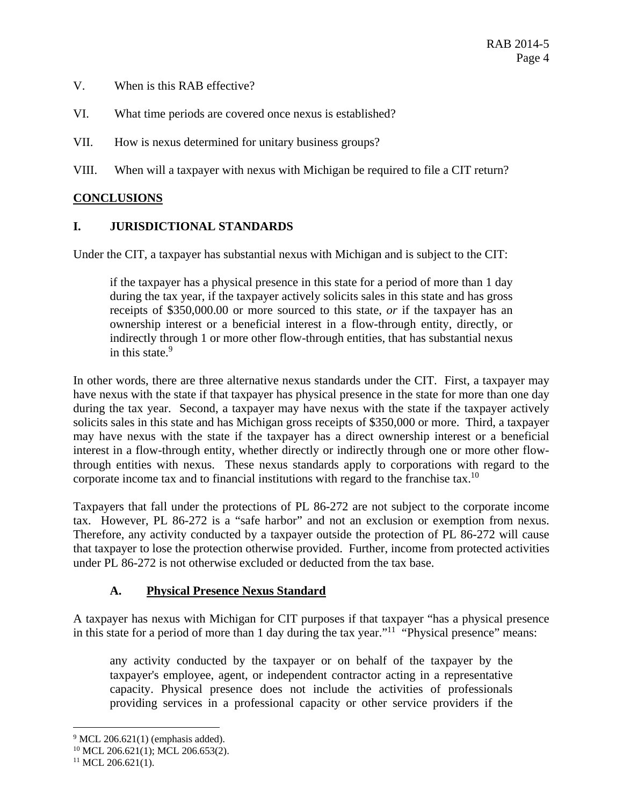- V. When is this RAB effective?
- VI. What time periods are covered once nexus is established?
- VII. How is nexus determined for unitary business groups?

VIII. When will a taxpayer with nexus with Michigan be required to file a CIT return?

#### **CONCLUSIONS**

#### **I. JURISDICTIONAL STANDARDS**

Under the CIT, a taxpayer has substantial nexus with Michigan and is subject to the CIT:

in this state.<sup>9</sup> if the taxpayer has a physical presence in this state for a period of more than 1 day during the tax year, if the taxpayer actively solicits sales in this state and has gross receipts of [\\$350,000.00](https://350,000.00) or more sourced to this state, *or* if the taxpayer has an ownership interest or a beneficial interest in a flow-through entity, directly, or indirectly through 1 or more other flow-through entities, that has substantial nexus

In other words, there are three alternative nexus standards under the CIT. First, a taxpayer may have nexus with the state if that taxpayer has physical presence in the state for more than one day during the tax year. Second, a taxpayer may have nexus with the state if the taxpayer actively solicits sales in this state and has Michigan gross receipts of \$350,000 or more. Third, a taxpayer may have nexus with the state if the taxpayer has a direct ownership interest or a beneficial interest in a flow-through entity, whether directly or indirectly through one or more other flowthrough entities with nexus. These nexus standards apply to corporations with regard to the corporate income tax and to financial institutions with regard to the franchise tax.10

Taxpayers that fall under the protections of PL 86-272 are not subject to the corporate income tax. However, PL 86-272 is a "safe harbor" and not an exclusion or exemption from nexus. Therefore, any activity conducted by a taxpayer outside the protection of PL 86-272 will cause that taxpayer to lose the protection otherwise provided. Further, income from protected activities under PL 86-272 is not otherwise excluded or deducted from the tax base.

## **A. Physical Presence Nexus Standard**

A taxpayer has nexus with Michigan for CIT purposes if that taxpayer "has a physical presence in this state for a period of more than 1 day during the tax year."11 "Physical presence" means:

any activity conducted by the taxpayer or on behalf of the taxpayer by the taxpayer's employee, agent, or independent contractor acting in a representative capacity. Physical presence does not include the activities of professionals providing services in a professional capacity or other service providers if the

 $9$  MCL 206.621(1) (emphasis added).

<sup>10</sup> MCL 206.621(1); MCL 206.653(2).

 $11$  MCL 206.621(1).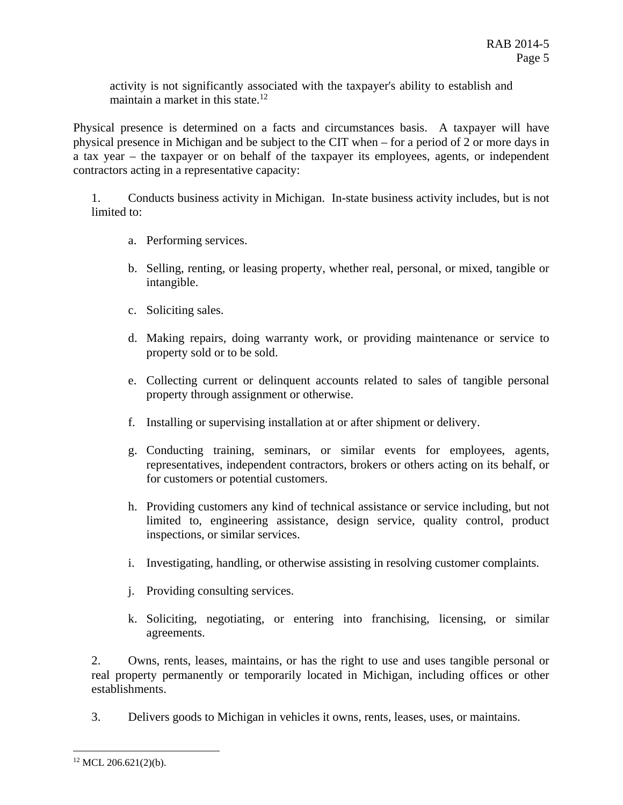activity is not significantly associated with the taxpayer's ability to establish and maintain a market in this state.<sup>12</sup>

Physical presence is determined on a facts and circumstances basis. A taxpayer will have physical presence in Michigan and be subject to the CIT when – for a period of 2 or more days in a tax year – the taxpayer or on behalf of the taxpayer its employees, agents, or independent contractors acting in a representative capacity:

1. Conducts business activity in Michigan. In-state business activity includes, but is not limited to:

- a. Performing services.
- b. Selling, renting, or leasing property, whether real, personal, or mixed, tangible or intangible.
- c. Soliciting sales.
- d. Making repairs, doing warranty work, or providing maintenance or service to property sold or to be sold.
- e. Collecting current or delinquent accounts related to sales of tangible personal property through assignment or otherwise.
- f. Installing or supervising installation at or after shipment or delivery.
- g. Conducting training, seminars, or similar events for employees, agents, representatives, independent contractors, brokers or others acting on its behalf, or for customers or potential customers.
- h. Providing customers any kind of technical assistance or service including, but not limited to, engineering assistance, design service, quality control, product inspections, or similar services.
- i. Investigating, handling, or otherwise assisting in resolving customer complaints.
- j. Providing consulting services.
- k. Soliciting, negotiating, or entering into franchising, licensing, or similar agreements.

2. Owns, rents, leases, maintains, or has the right to use and uses tangible personal or real property permanently or temporarily located in Michigan, including offices or other establishments.

3. Delivers goods to Michigan in vehicles it owns, rents, leases, uses, or maintains.

 $12$  MCL 206.621(2)(b).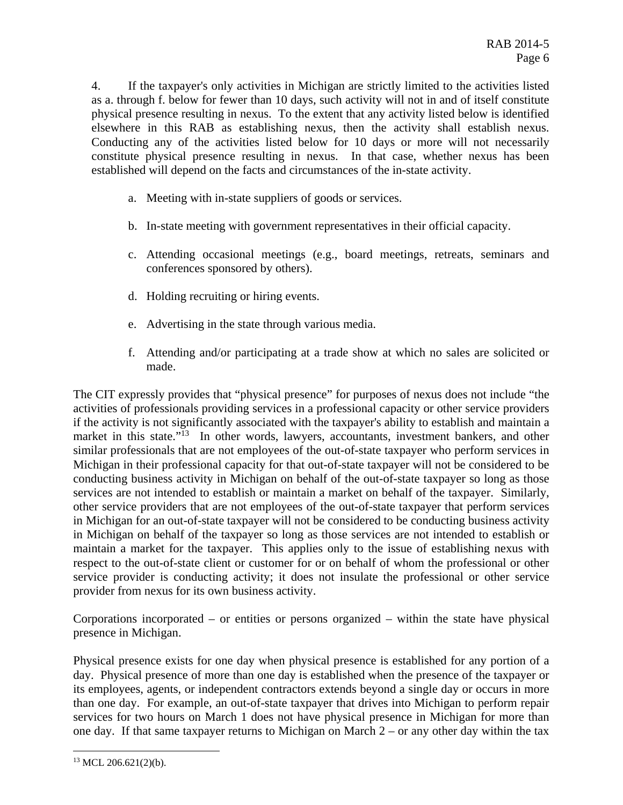4. If the taxpayer's only activities in Michigan are strictly limited to the activities listed as a. through f. below for fewer than 10 days, such activity will not in and of itself constitute physical presence resulting in nexus. To the extent that any activity listed below is identified elsewhere in this RAB as establishing nexus, then the activity shall establish nexus. Conducting any of the activities listed below for 10 days or more will not necessarily constitute physical presence resulting in nexus. In that case, whether nexus has been established will depend on the facts and circumstances of the in-state activity.

- a. Meeting with in-state suppliers of goods or services.
- b. In-state meeting with government representatives in their official capacity.
- c. Attending occasional meetings (e.g., board meetings, retreats, seminars and conferences sponsored by others).
- d. Holding recruiting or hiring events.
- e. Advertising in the state through various media.
- f. Attending and/or participating at a trade show at which no sales are solicited or made.

The CIT expressly provides that "physical presence" for purposes of nexus does not include "the activities of professionals providing services in a professional capacity or other service providers if the activity is not significantly associated with the taxpayer's ability to establish and maintain a market in this state."<sup>13</sup> In other words, lawyers, accountants, investment bankers, and other similar professionals that are not employees of the out-of-state taxpayer who perform services in Michigan in their professional capacity for that out-of-state taxpayer will not be considered to be conducting business activity in Michigan on behalf of the out-of-state taxpayer so long as those services are not intended to establish or maintain a market on behalf of the taxpayer. Similarly, other service providers that are not employees of the out-of-state taxpayer that perform services in Michigan for an out-of-state taxpayer will not be considered to be conducting business activity in Michigan on behalf of the taxpayer so long as those services are not intended to establish or maintain a market for the taxpayer. This applies only to the issue of establishing nexus with respect to the out-of-state client or customer for or on behalf of whom the professional or other service provider is conducting activity; it does not insulate the professional or other service provider from nexus for its own business activity.

Corporations incorporated – or entities or persons organized – within the state have physical presence in Michigan.

Physical presence exists for one day when physical presence is established for any portion of a day. Physical presence of more than one day is established when the presence of the taxpayer or its employees, agents, or independent contractors extends beyond a single day or occurs in more than one day. For example, an out-of-state taxpayer that drives into Michigan to perform repair services for two hours on March 1 does not have physical presence in Michigan for more than one day. If that same taxpayer returns to Michigan on March 2 – or any other day within the tax

 $13$  MCL 206.621(2)(b).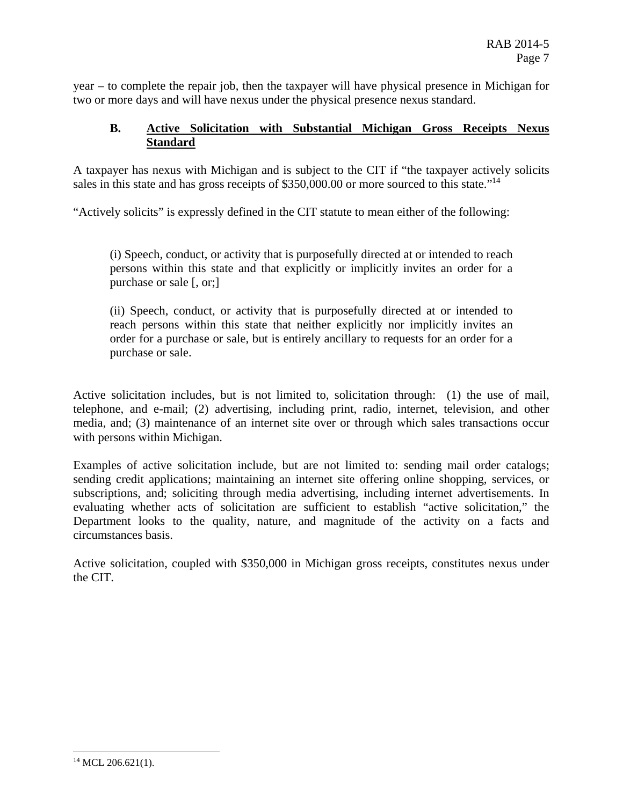year – to complete the repair job, then the taxpayer will have physical presence in Michigan for two or more days and will have nexus under the physical presence nexus standard.

### **B. Active Solicitation with Substantial Michigan Gross Receipts Nexus Standard**

sales in this state and has gross receipts of \$[350,000.00](https://350,000.00) or more sourced to this state."<sup>14</sup> A taxpayer has nexus with Michigan and is subject to the CIT if "the taxpayer actively solicits

"Actively solicits" is expressly defined in the CIT statute to mean either of the following:

(i) Speech, conduct, or activity that is purposefully directed at or intended to reach persons within this state and that explicitly or implicitly invites an order for a purchase or sale [, or;]

(ii) Speech, conduct, or activity that is purposefully directed at or intended to reach persons within this state that neither explicitly nor implicitly invites an order for a purchase or sale, but is entirely ancillary to requests for an order for a purchase or sale.

Active solicitation includes, but is not limited to, solicitation through: (1) the use of mail, telephone, and e-mail; (2) advertising, including print, radio, internet, television, and other media, and; (3) maintenance of an internet site over or through which sales transactions occur with persons within Michigan.

Examples of active solicitation include, but are not limited to: sending mail order catalogs; sending credit applications; maintaining an internet site offering online shopping, services, or subscriptions, and; soliciting through media advertising, including internet advertisements. In evaluating whether acts of solicitation are sufficient to establish "active solicitation," the Department looks to the quality, nature, and magnitude of the activity on a facts and circumstances basis.

Active solicitation, coupled with \$350,000 in Michigan gross receipts, constitutes nexus under the CIT.

 $^{14}$  MCL 206.621(1).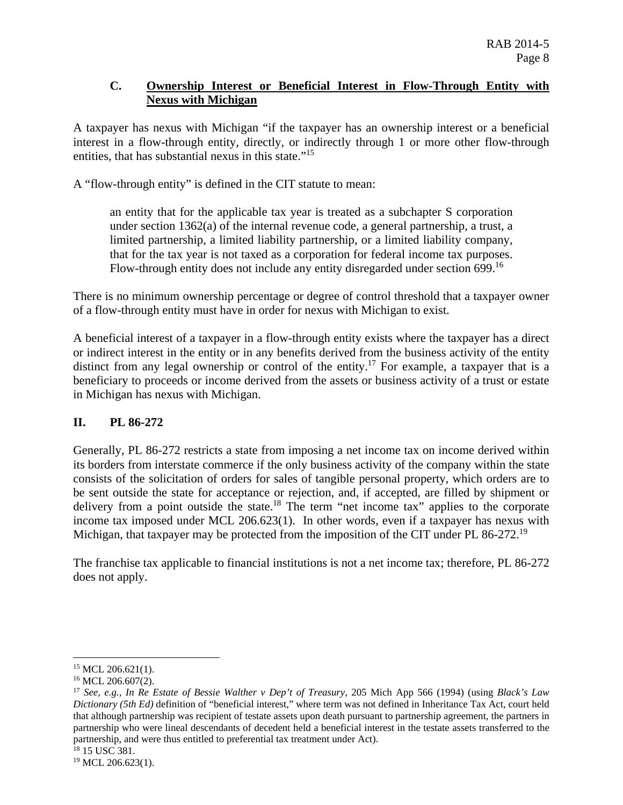#### **C. Ownership Interest or Beneficial Interest in Flow-Through Entity with Nexus with Michigan**

entities, that has substantial nexus in this state."<sup>15</sup> A taxpayer has nexus with Michigan "if the taxpayer has an ownership interest or a beneficial interest in a flow-through entity, directly, or indirectly through 1 or more other flow-through

A "flow-through entity" is defined in the CIT statute to mean:

an entity that for the applicable tax year is treated as a subchapter S corporation under section 1362(a) of the internal revenue code, a general partnership, a trust, a limited partnership, a limited liability partnership, or a limited liability company, that for the tax year is not taxed as a corporation for federal income tax purposes. Flow-through entity does not include any entity disregarded under section 699.<sup>16</sup>

There is no minimum ownership percentage or degree of control threshold that a taxpayer owner of a flow-through entity must have in order for nexus with Michigan to exist.

A beneficial interest of a taxpayer in a flow-through entity exists where the taxpayer has a direct or indirect interest in the entity or in any benefits derived from the business activity of the entity distinct from any legal ownership or control of the entity.<sup>17</sup> For example, a taxpayer that is a beneficiary to proceeds or income derived from the assets or business activity of a trust or estate in Michigan has nexus with Michigan.

## **II. PL 86-272**

Michigan, that taxpayer may be protected from the imposition of the CIT under PL 86-272.<sup>19</sup> Generally, PL 86-272 restricts a state from imposing a net income tax on income derived within its borders from interstate commerce if the only business activity of the company within the state consists of the solicitation of orders for sales of tangible personal property, which orders are to be sent outside the state for acceptance or rejection, and, if accepted, are filled by shipment or delivery from a point outside the state.<sup>18</sup> The term "net income tax" applies to the corporate income tax imposed under MCL 206.623(1). In other words, even if a taxpayer has nexus with

The franchise tax applicable to financial institutions is not a net income tax; therefore, PL 86-272 does not apply.

1

 $15$  MCL 206.621(1).

<sup>&</sup>lt;sup>16</sup> MCL 206.607(2).

 <sup>17</sup>*See, e.g., In Re Estate of Bessie Walther v Dep't of Treasury*, 205 Mich App 566 (1994) (using *Black's Law Dictionary (5th Ed)* definition of "beneficial interest," where term was not defined in Inheritance Tax Act, court held that although partnership was recipient of testate assets upon death pursuant to partnership agreement, the partners in partnership who were lineal descendants of decedent held a beneficial interest in the testate assets transferred to the partnership, and were thus entitled to preferential tax treatment under Act). 18 15 USC 381.

 $19$  MCL 206.623(1).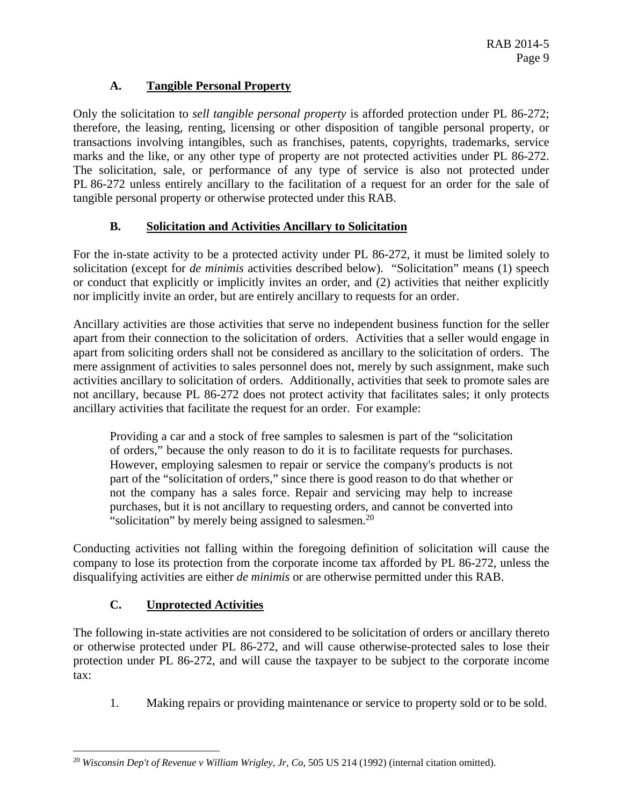# **A. Tangible Personal Property**

Only the solicitation to *sell tangible personal property* is afforded protection under PL 86-272; therefore, the leasing, renting, licensing or other disposition of tangible personal property, or transactions involving intangibles, such as franchises, patents, copyrights, trademarks, service marks and the like, or any other type of property are not protected activities under PL 86-272. The solicitation, sale, or performance of any type of service is also not protected under PL 86-272 unless entirely ancillary to the facilitation of a request for an order for the sale of tangible personal property or otherwise protected under this RAB.

## **B. Solicitation and Activities Ancillary to Solicitation**

For the in-state activity to be a protected activity under PL 86-272, it must be limited solely to solicitation (except for *de minimis* activities described below). "Solicitation" means (1) speech or conduct that explicitly or implicitly invites an order, and (2) activities that neither explicitly nor implicitly invite an order, but are entirely ancillary to requests for an order.

Ancillary activities are those activities that serve no independent business function for the seller apart from their connection to the solicitation of orders. Activities that a seller would engage in apart from soliciting orders shall not be considered as ancillary to the solicitation of orders. The mere assignment of activities to sales personnel does not, merely by such assignment, make such activities ancillary to solicitation of orders. Additionally, activities that seek to promote sales are not ancillary, because PL 86-272 does not protect activity that facilitates sales; it only protects ancillary activities that facilitate the request for an order. For example:

Providing a car and a stock of free samples to salesmen is part of the "solicitation of orders," because the only reason to do it is to facilitate requests for purchases. However, employing salesmen to repair or service the company's products is not part of the "solicitation of orders," since there is good reason to do that whether or not the company has a sales force. Repair and servicing may help to increase purchases, but it is not ancillary to requesting orders, and cannot be converted into "solicitation" by merely being assigned to salesmen.<sup>20</sup>

Conducting activities not falling within the foregoing definition of solicitation will cause the company to lose its protection from the corporate income tax afforded by PL 86-272, unless the disqualifying activities are either *de minimis* or are otherwise permitted under this RAB.

## **C. Unprotected Activities**

The following in-state activities are not considered to be solicitation of orders or ancillary thereto or otherwise protected under PL 86-272, and will cause otherwise-protected sales to lose their protection under PL 86-272, and will cause the taxpayer to be subject to the corporate income tax:

1. Making repairs or providing maintenance or service to property sold or to be sold.

 $\overline{a}$ 20 *Wisconsin Dep't of Revenue v William Wrigley, Jr, Co*, 505 US 214 (1992) (internal citation omitted).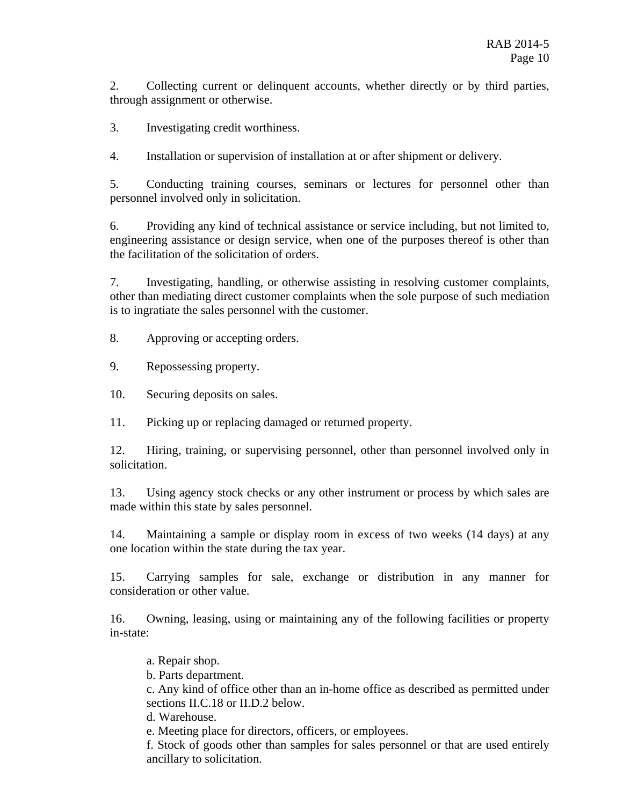2. Collecting current or delinquent accounts, whether directly or by third parties, through assignment or otherwise.

3. Investigating credit worthiness.

4. Installation or supervision of installation at or after shipment or delivery.

5. Conducting training courses, seminars or lectures for personnel other than personnel involved only in solicitation.

6. Providing any kind of technical assistance or service including, but not limited to, engineering assistance or design service, when one of the purposes thereof is other than the facilitation of the solicitation of orders.

7. Investigating, handling, or otherwise assisting in resolving customer complaints, other than mediating direct customer complaints when the sole purpose of such mediation is to ingratiate the sales personnel with the customer.

8. Approving or accepting orders.

9. Repossessing property.

10. Securing deposits on sales.

11. Picking up or replacing damaged or returned property.

12. Hiring, training, or supervising personnel, other than personnel involved only in solicitation.

13. Using agency stock checks or any other instrument or process by which sales are made within this state by sales personnel.

14. Maintaining a sample or display room in excess of two weeks (14 days) at any one location within the state during the tax year.

15. Carrying samples for sale, exchange or distribution in any manner for consideration or other value.

16. Owning, leasing, using or maintaining any of the following facilities or property in-state:

a. Repair shop.

b. Parts department.

c. Any kind of office other than an in-home office as described as permitted under sections II.C.18 or II.D.2 below.

d. Warehouse.

e. Meeting place for directors, officers, or employees.

f. Stock of goods other than samples for sales personnel or that are used entirely ancillary to solicitation.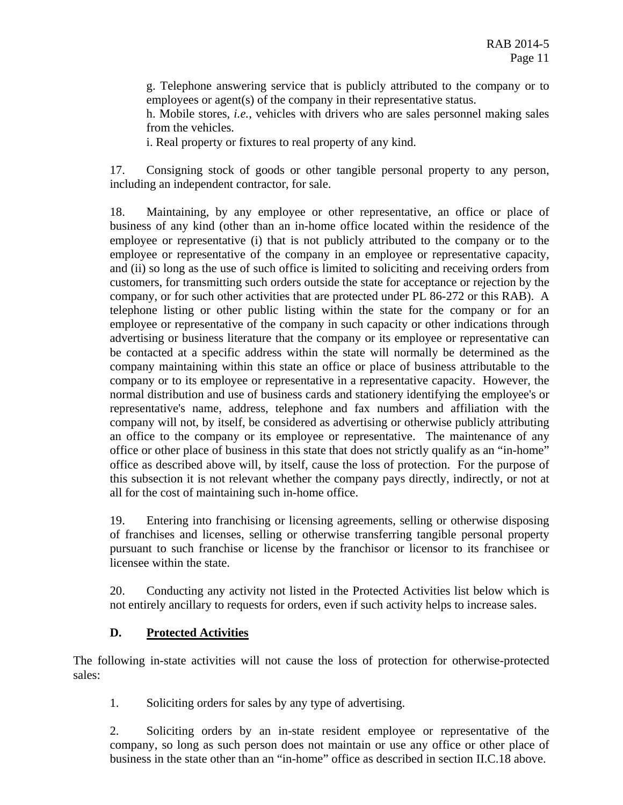g. Telephone answering service that is publicly attributed to the company or to employees or agent(s) of the company in their representative status.

h. Mobile stores, *i.e.*, vehicles with drivers who are sales personnel making sales from the vehicles.

i. Real property or fixtures to real property of any kind.

17. Consigning stock of goods or other tangible personal property to any person, including an independent contractor, for sale.

18. Maintaining, by any employee or other representative, an office or place of business of any kind (other than an in-home office located within the residence of the employee or representative (i) that is not publicly attributed to the company or to the employee or representative of the company in an employee or representative capacity, and (ii) so long as the use of such office is limited to soliciting and receiving orders from customers, for transmitting such orders outside the state for acceptance or rejection by the company, or for such other activities that are protected under PL 86-272 or this RAB). A telephone listing or other public listing within the state for the company or for an employee or representative of the company in such capacity or other indications through advertising or business literature that the company or its employee or representative can be contacted at a specific address within the state will normally be determined as the company maintaining within this state an office or place of business attributable to the company or to its employee or representative in a representative capacity. However, the normal distribution and use of business cards and stationery identifying the employee's or representative's name, address, telephone and fax numbers and affiliation with the company will not, by itself, be considered as advertising or otherwise publicly attributing an office to the company or its employee or representative. The maintenance of any office or other place of business in this state that does not strictly qualify as an "in-home" office as described above will, by itself, cause the loss of protection. For the purpose of this subsection it is not relevant whether the company pays directly, indirectly, or not at all for the cost of maintaining such in-home office.

19. Entering into franchising or licensing agreements, selling or otherwise disposing of franchises and licenses, selling or otherwise transferring tangible personal property pursuant to such franchise or license by the franchisor or licensor to its franchisee or licensee within the state.

20. Conducting any activity not listed in the Protected Activities list below which is not entirely ancillary to requests for orders, even if such activity helps to increase sales.

## **D. Protected Activities**

The following in-state activities will not cause the loss of protection for otherwise-protected sales:

1. Soliciting orders for sales by any type of advertising.

2. Soliciting orders by an in-state resident employee or representative of the company, so long as such person does not maintain or use any office or other place of business in the state other than an "in-home" office as described in section II.C.18 above.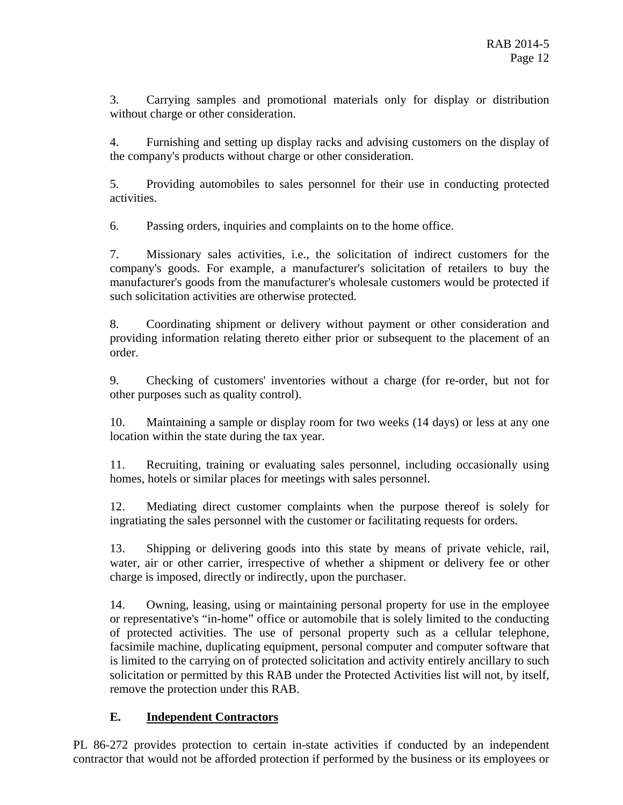3. Carrying samples and promotional materials only for display or distribution without charge or other consideration.

4. Furnishing and setting up display racks and advising customers on the display of the company's products without charge or other consideration.

5. Providing automobiles to sales personnel for their use in conducting protected activities.

6. Passing orders, inquiries and complaints on to the home office.

7. Missionary sales activities, i.e., the solicitation of indirect customers for the company's goods. For example, a manufacturer's solicitation of retailers to buy the manufacturer's goods from the manufacturer's wholesale customers would be protected if such solicitation activities are otherwise protected.

8. Coordinating shipment or delivery without payment or other consideration and providing information relating thereto either prior or subsequent to the placement of an order.

9. Checking of customers' inventories without a charge (for re-order, but not for other purposes such as quality control).

10. Maintaining a sample or display room for two weeks (14 days) or less at any one location within the state during the tax year.

11. Recruiting, training or evaluating sales personnel, including occasionally using homes, hotels or similar places for meetings with sales personnel.

12. Mediating direct customer complaints when the purpose thereof is solely for ingratiating the sales personnel with the customer or facilitating requests for orders.

13. Shipping or delivering goods into this state by means of private vehicle, rail, water, air or other carrier, irrespective of whether a shipment or delivery fee or other charge is imposed, directly or indirectly, upon the purchaser.

14. Owning, leasing, using or maintaining personal property for use in the employee or representative's "in-home" office or automobile that is solely limited to the conducting of protected activities. The use of personal property such as a cellular telephone, facsimile machine, duplicating equipment, personal computer and computer software that is limited to the carrying on of protected solicitation and activity entirely ancillary to such solicitation or permitted by this RAB under the Protected Activities list will not, by itself, remove the protection under this RAB.

## **E. Independent Contractors**

PL 86-272 provides protection to certain in-state activities if conducted by an independent contractor that would not be afforded protection if performed by the business or its employees or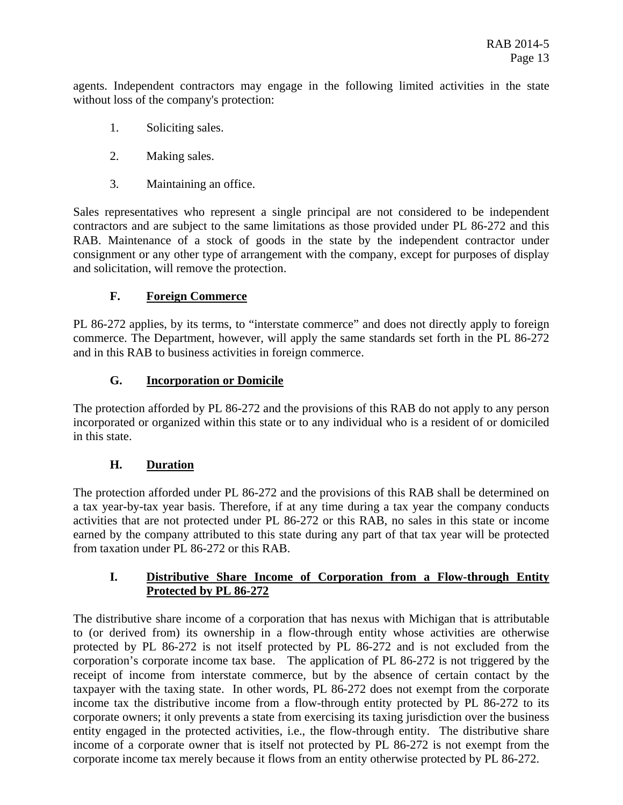agents. Independent contractors may engage in the following limited activities in the state without loss of the company's protection:

- 1. Soliciting sales.
- 2. Making sales.
- 3. Maintaining an office.

Sales representatives who represent a single principal are not considered to be independent contractors and are subject to the same limitations as those provided under PL 86-272 and this RAB. Maintenance of a stock of goods in the state by the independent contractor under consignment or any other type of arrangement with the company, except for purposes of display and solicitation, will remove the protection.

## **F. Foreign Commerce**

PL 86-272 applies, by its terms, to "interstate commerce" and does not directly apply to foreign commerce. The Department, however, will apply the same standards set forth in the PL 86-272 and in this RAB to business activities in foreign commerce.

## **G. Incorporation or Domicile**

The protection afforded by PL 86-272 and the provisions of this RAB do not apply to any person incorporated or organized within this state or to any individual who is a resident of or domiciled in this state.

## **H. Duration**

The protection afforded under PL 86-272 and the provisions of this RAB shall be determined on a tax year-by-tax year basis. Therefore, if at any time during a tax year the company conducts activities that are not protected under PL 86-272 or this RAB, no sales in this state or income earned by the company attributed to this state during any part of that tax year will be protected from taxation under PL 86-272 or this RAB.

## **I. Distributive Share Income of Corporation from a Flow-through Entity Protected by PL 86-272**

The distributive share income of a corporation that has nexus with Michigan that is attributable to (or derived from) its ownership in a flow-through entity whose activities are otherwise protected by PL 86-272 is not itself protected by PL 86-272 and is not excluded from the corporation's corporate income tax base. The application of PL 86-272 is not triggered by the receipt of income from interstate commerce, but by the absence of certain contact by the taxpayer with the taxing state. In other words, PL 86-272 does not exempt from the corporate income tax the distributive income from a flow-through entity protected by PL 86-272 to its corporate owners; it only prevents a state from exercising its taxing jurisdiction over the business entity engaged in the protected activities, i.e., the flow-through entity. The distributive share income of a corporate owner that is itself not protected by PL 86-272 is not exempt from the corporate income tax merely because it flows from an entity otherwise protected by PL 86-272.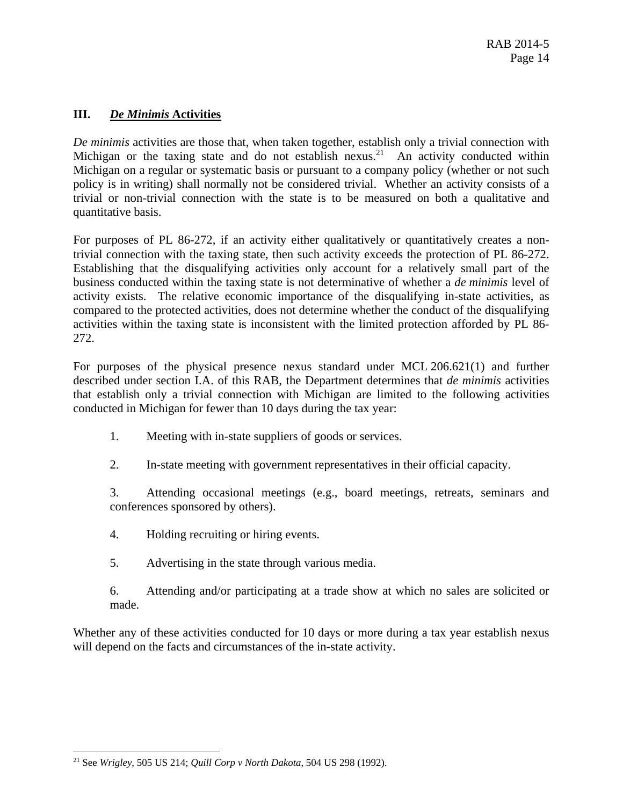## **III.** *De Minimis* **Activities**

*De minimis* activities are those that, when taken together, establish only a trivial connection with Michigan or the taxing state and do not establish nexus.<sup>21</sup> An activity conducted within Michigan on a regular or systematic basis or pursuant to a company policy (whether or not such policy is in writing) shall normally not be considered trivial. Whether an activity consists of a trivial or non-trivial connection with the state is to be measured on both a qualitative and quantitative basis.

For purposes of PL 86-272, if an activity either qualitatively or quantitatively creates a nontrivial connection with the taxing state, then such activity exceeds the protection of PL 86-272. Establishing that the disqualifying activities only account for a relatively small part of the business conducted within the taxing state is not determinative of whether a *de minimis* level of activity exists. The relative economic importance of the disqualifying in-state activities, as compared to the protected activities, does not determine whether the conduct of the disqualifying activities within the taxing state is inconsistent with the limited protection afforded by PL 86- 272.

For purposes of the physical presence nexus standard under MCL 206.621(1) and further described under section I.A. of this RAB, the Department determines that *de minimis* activities that establish only a trivial connection with Michigan are limited to the following activities conducted in Michigan for fewer than 10 days during the tax year:

- 1. Meeting with in-state suppliers of goods or services.
- 2. In-state meeting with government representatives in their official capacity.

3. Attending occasional meetings (e.g., board meetings, retreats, seminars and conferences sponsored by others).

- 4. Holding recruiting or hiring events.
- 5. Advertising in the state through various media.
- 6. Attending and/or participating at a trade show at which no sales are solicited or made.

Whether any of these activities conducted for 10 days or more during a tax year establish nexus will depend on the facts and circumstances of the in-state activity.

 $\overline{a}$ 21 See *Wrigley*, 505 US 214; *Quill Corp v North Dakota*, 504 US 298 (1992).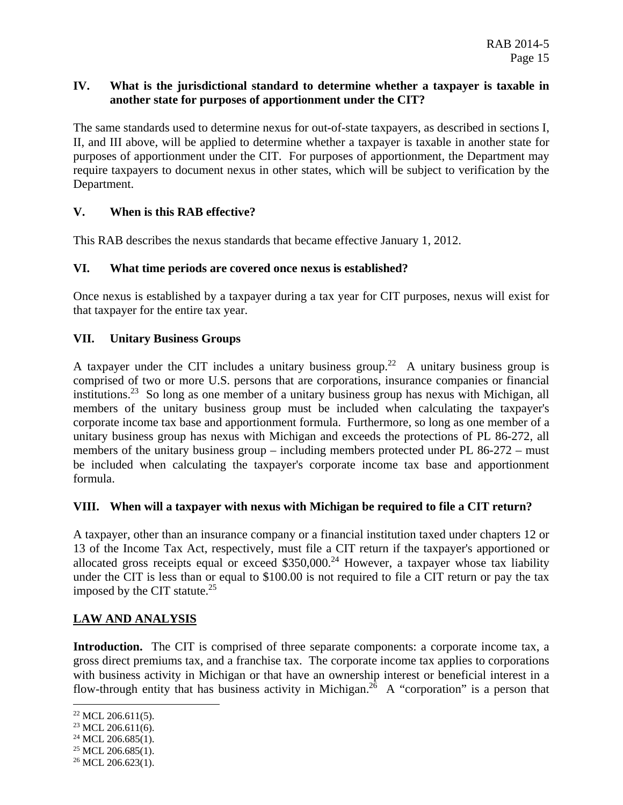#### **IV. What is the jurisdictional standard to determine whether a taxpayer is taxable in another state for purposes of apportionment under the CIT?**

The same standards used to determine nexus for out-of-state taxpayers, as described in sections I, II, and III above, will be applied to determine whether a taxpayer is taxable in another state for purposes of apportionment under the CIT. For purposes of apportionment, the Department may require taxpayers to document nexus in other states, which will be subject to verification by the Department.

## **V. When is this RAB effective?**

This RAB describes the nexus standards that became effective January 1, 2012.

#### **VI. What time periods are covered once nexus is established?**

Once nexus is established by a taxpayer during a tax year for CIT purposes, nexus will exist for that taxpayer for the entire tax year.

#### **VII. Unitary Business Groups**

A taxpayer under the CIT includes a unitary business group.<sup>22</sup> A unitary business group is comprised of two or more U.S. persons that are corporations, insurance companies or financial institutions.<sup>23</sup> So long as one member of a unitary business group has nexus with Michigan, all members of the unitary business group must be included when calculating the taxpayer's corporate income tax base and apportionment formula. Furthermore, so long as one member of a unitary business group has nexus with Michigan and exceeds the protections of PL 86-272, all members of the unitary business group – including members protected under PL 86-272 – must be included when calculating the taxpayer's corporate income tax base and apportionment formula.

#### **VIII. When will a taxpayer with nexus with Michigan be required to file a CIT return?**

A taxpayer, other than an insurance company or a financial institution taxed under chapters 12 or 13 of the Income Tax Act, respectively, must file a CIT return if the taxpayer's apportioned or allocated gross receipts equal or exceed  $$350,000.<sup>24</sup>$  $$350,000.<sup>24</sup>$  However, a taxpayer whose tax liability under the CIT is less than or equal to \$100.00 is not required to file a CIT return or pay the tax imposed by the CIT statute. $25$ 

## **LAW AND ANALYSIS**

**Introduction.** The CIT is comprised of three separate components: a corporate income tax, a gross direct premiums tax, and a franchise tax. The corporate income tax applies to corporations with business activity in Michigan or that have an ownership interest or beneficial interest in a flow-through entity that has business activity in Michigan.<sup>26</sup> A "corporation" is a person that

1

 $22$  MCL 206.611(5).

 $23$  MCL 206.611(6).

 $24$  MCL 206.685(1).

 $25$  MCL 206.685(1).

 $26$  MCL 206.623(1).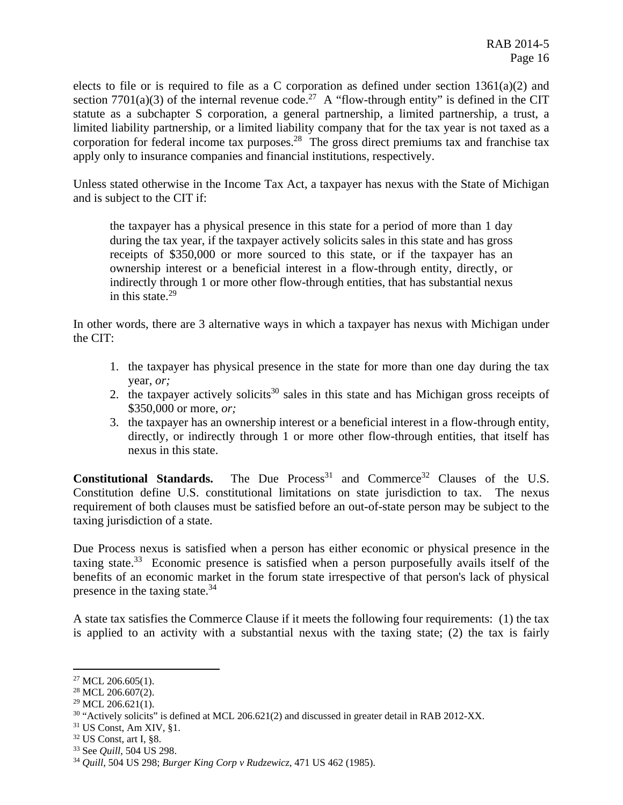elects to file or is required to file as a C corporation as defined under section 1361(a)(2) and section 7701(a)(3) of the internal revenue code.<sup>27</sup> A "flow-through entity" is defined in the CIT statute as a subchapter S corporation, a general partnership, a limited partnership, a trust, a limited liability partnership, or a limited liability company that for the tax year is not taxed as a corporation for federal income tax purposes.<sup>28</sup> The gross direct premiums tax and franchise tax apply only to insurance companies and financial institutions, respectively.

Unless stated otherwise in the Income Tax Act, a taxpayer has nexus with the State of Michigan and is subject to the CIT if:

the taxpayer has a physical presence in this state for a period of more than 1 day during the tax year, if the taxpayer actively solicits sales in this state and has gross receipts of \$350,000 or more sourced to this state, or if the taxpayer has an ownership interest or a beneficial interest in a flow-through entity, directly, or indirectly through 1 or more other flow-through entities, that has substantial nexus in this state. $29$ 

In other words, there are 3 alternative ways in which a taxpayer has nexus with Michigan under the CIT:

- year, *or;* 1. the taxpayer has physical presence in the state for more than one day during the tax
- \$350,000 or more, *or;* 2. the taxpayer actively solicits<sup>30</sup> sales in this state and has Michigan gross receipts of
- 3. the taxpayer has an ownership interest or a beneficial interest in a flow-through entity, directly, or indirectly through 1 or more other flow-through entities, that itself has nexus in this state.

**Constitutional Standards.** The Due Process<sup>31</sup> and Commerce<sup>32</sup> Clauses of the U.S. Constitution define U.S. constitutional limitations on state jurisdiction to tax. The nexus requirement of both clauses must be satisfied before an out-of-state person may be subject to the taxing jurisdiction of a state.

presence in the taxing state.<sup>34</sup> Due Process nexus is satisfied when a person has either economic or physical presence in the taxing state.<sup>33</sup> Economic presence is satisfied when a person purposefully avails itself of the benefits of an economic market in the forum state irrespective of that person's lack of physical

A state tax satisfies the Commerce Clause if it meets the following four requirements: (1) the tax is applied to an activity with a substantial nexus with the taxing state; (2) the tax is fairly

 $27$  MCL 206.605(1).

<sup>&</sup>lt;sup>28</sup> MCL 206.607(2).

 $29$  MCL 206.621(1).

<sup>&</sup>lt;sup>30</sup> "Actively solicits" is defined at MCL 206.621(2) and discussed in greater detail in RAB 2012-XX.<br><sup>31</sup> US Const, Am XIV, §1.<br><sup>32</sup> US Const, art I, §8.<br><sup>33</sup> See *Quill*, 504 US 298. *Burger King Corp v Rudzewicz*, 471

 $31$  US Const, Am XIV, §1.

 $32$  US Const, art I, §8.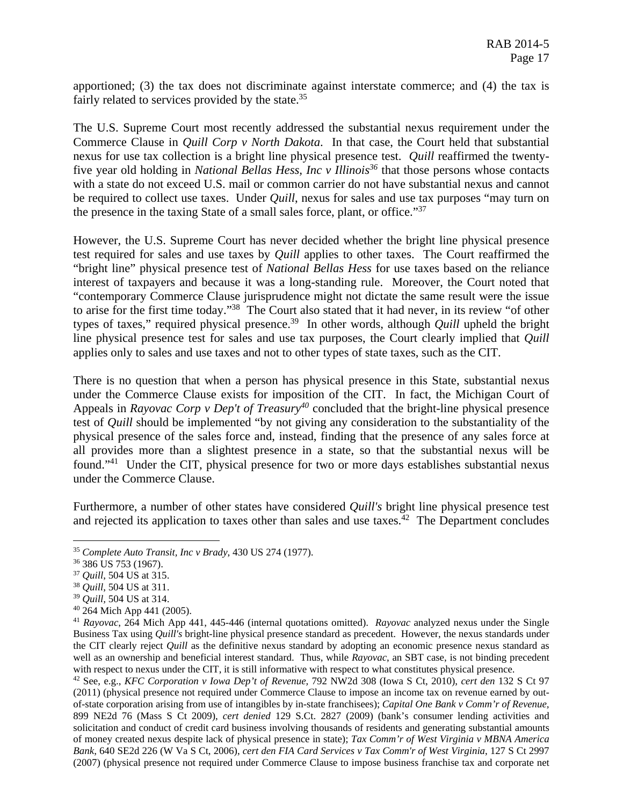fairly related to services provided by the state.<sup>35</sup> apportioned; (3) the tax does not discriminate against interstate commerce; and (4) the tax is

the presence in the taxing State of a small sales force, plant, or office."<sup>37</sup> The U.S. Supreme Court most recently addressed the substantial nexus requirement under the Commerce Clause in *Quill Corp v North Dakota*. In that case, the Court held that substantial nexus for use tax collection is a bright line physical presence test. *Quill* reaffirmed the twentyfive year old holding in *National Bellas Hess, Inc v Illinois36* that those persons whose contacts with a state do not exceed U.S. mail or common carrier do not have substantial nexus and cannot be required to collect use taxes. Under *Quill*, nexus for sales and use tax purposes "may turn on

However, the U.S. Supreme Court has never decided whether the bright line physical presence test required for sales and use taxes by *Quill* applies to other taxes. The Court reaffirmed the "bright line" physical presence test of *National Bellas Hess* for use taxes based on the reliance interest of taxpayers and because it was a long-standing rule. Moreover, the Court noted that "contemporary Commerce Clause jurisprudence might not dictate the same result were the issue to arise for the first time today."38 The Court also stated that it had never, in its review "of other types of taxes," required physical presence.<sup>39</sup> In other words, although *Quill* upheld the bright line physical presence test for sales and use tax purposes, the Court clearly implied that *Quill*  applies only to sales and use taxes and not to other types of state taxes, such as the CIT.

There is no question that when a person has physical presence in this State, substantial nexus under the Commerce Clause exists for imposition of the CIT. In fact, the Michigan Court of Appeals in *Rayovac Corp v Dep't of Treasury<sup>40</sup>* concluded that the bright-line physical presence test of *Quill* should be implemented "by not giving any consideration to the substantiality of the physical presence of the sales force and, instead, finding that the presence of any sales force at all provides more than a slightest presence in a state, so that the substantial nexus will be found."41 Under the CIT, physical presence for two or more days establishes substantial nexus under the Commerce Clause.

Furthermore, a number of other states have considered *Quill's* bright line physical presence test and rejected its application to taxes other than sales and use taxes.<sup> $42$ </sup> The Department concludes

 $\overline{a}$ 

<sup>38</sup> *Quill*, 504 US at 311.

 (2011) (physical presence not required under Commerce Clause to impose an income tax on revenue earned by out- 899 NE2d 76 (Mass S Ct 2009), *cert denied* 129 S.Ct. 2827 (2009) (bank's consumer lending activities and <sup>42</sup> See, e.g., KFC Corporation v Iowa Dep't of Revenue, 792 NW2d 308 (Iowa S Ct, 2010), cert den 132 S Ct 97 of-state corporation arising from use of intangibles by in-state franchisees); *Capital One Bank v Comm'r of Revenue,*  solicitation and conduct of credit card business involving thousands of residents and generating substantial amounts of money created nexus despite lack of physical presence in state); *Tax Comm'r of West Virginia v MBNA America Bank*, 640 SE2d 226 (W Va S Ct, 2006), *cert den FIA Card Services v Tax Comm'r of West Virginia*, 127 S Ct 2997 (2007) (physical presence not required under Commerce Clause to impose business franchise tax and corporate net

<sup>35</sup>*Complete Auto Transit, Inc v Brady*, 430 US 274 (1977). 36 386 US 753 (1967). 37 *Quill*, 504 US at 315. 38 *Quill*, 504 US at 311. 39 *Quill,* 504 US at 314. 40 264 Mich App 441 (2005).

 well as an ownership and beneficial interest standard. Thus, while *Rayovac*, an SBT case, is not binding precedent with respect to nexus under the CIT, it is still informative with respect to what constitutes physical presence. <sup>41</sup>*Rayovac*, 264 Mich App 441, 445-446 (internal quotations omitted). *Rayovac* analyzed nexus under the Single Business Tax using *Quill's* bright-line physical presence standard as precedent. However, the nexus standards under the CIT clearly reject *Quill* as the definitive nexus standard by adopting an economic presence nexus standard as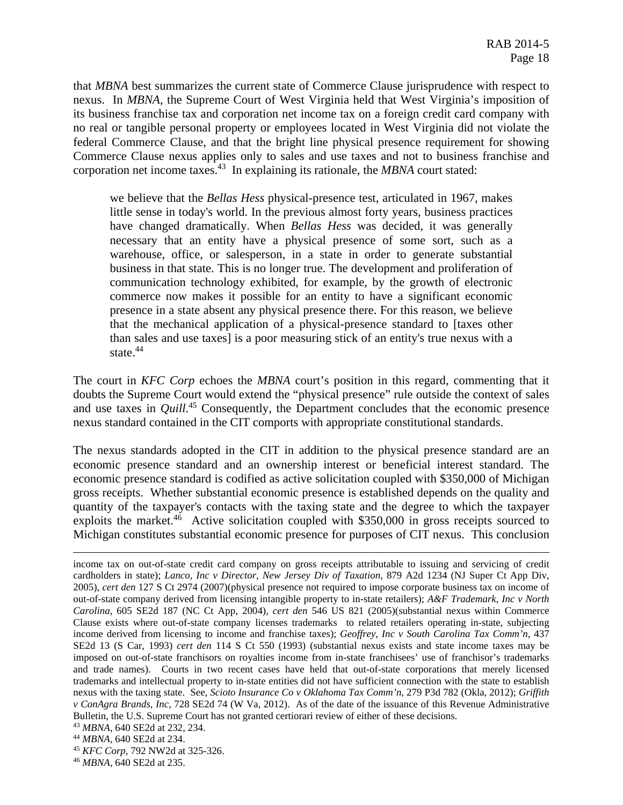that *MBNA* best summarizes the current state of Commerce Clause jurisprudence with respect to nexus. In *MBNA*, the Supreme Court of West Virginia held that West Virginia's imposition of its business franchise tax and corporation net income tax on a foreign credit card company with no real or tangible personal property or employees located in West Virginia did not violate the federal Commerce Clause, and that the bright line physical presence requirement for showing Commerce Clause nexus applies only to sales and use taxes and not to business franchise and corporation net income [taxes.43](https://taxes.43) In explaining its rationale, the *MBNA* court stated:

state.<sup>44</sup> we believe that the *Bellas Hess* physical-presence test, articulated in 1967, makes little sense in today's world. In the previous almost forty years, business practices have changed dramatically. When *Bellas Hess* was decided, it was generally necessary that an entity have a physical presence of some sort, such as a warehouse, office, or salesperson, in a state in order to generate substantial business in that state. This is no longer true. The development and proliferation of communication technology exhibited, for example, by the growth of electronic commerce now makes it possible for an entity to have a significant economic presence in a state absent any physical presence there. For this reason, we believe that the mechanical application of a physical-presence standard to [taxes other than sales and use taxes] is a poor measuring stick of an entity's true nexus with a

The court in *KFC Corp* echoes the *MBNA* court's position in this regard, commenting that it doubts the Supreme Court would extend the "physical presence" rule outside the context of sales and use taxes in *[Quill](https://Quill.45)*. 45 Consequently, the Department concludes that the economic presence nexus standard contained in the CIT comports with appropriate constitutional standards.

The nexus standards adopted in the CIT in addition to the physical presence standard are an economic presence standard and an ownership interest or beneficial interest standard. The economic presence standard is codified as active solicitation coupled with \$350,000 of Michigan gross receipts. Whether substantial economic presence is established depends on the quality and quantity of the taxpayer's contacts with the taxing state and the degree to which the taxpayer exploits the [market.](https://market.46)<sup>46</sup> Active solicitation coupled with  $$350,000$  in gross receipts sourced to Michigan constitutes substantial economic presence for purposes of CIT nexus. This conclusion

 *v ConAgra Brands, Inc*, 728 SE2d 74 (W Va, 2012). As of the date of the issuance of this Revenue Administrative income tax on out-of-state credit card company on gross receipts attributable to issuing and servicing of credit cardholders in state); *Lanco, Inc v Director, New Jersey Div of Taxation*, 879 A2d 1234 (NJ Super Ct App Div, 2005), *cert den* 127 S Ct 2974 (2007)(physical presence not required to impose corporate business tax on income of out-of-state company derived from licensing intangible property to in-state retailers); *A&F Trademark, Inc v North Carolina*, 605 SE2d 187 (NC Ct App, 2004), *cert den* 546 US 821 (2005)(substantial nexus within Commerce Clause exists where out-of-state company licenses trademarks to related retailers operating in-state, subjecting income derived from licensing to income and franchise taxes); *Geoffrey, Inc v South Carolina Tax Comm'n*, 437 SE2d 13 (S Car, 1993) *cert den* 114 S Ct 550 (1993) (substantial nexus exists and state income taxes may be imposed on out-of-state franchisors on royalties income from in-state franchisees' use of franchisor's trademarks and trade names). Courts in two recent cases have held that out-of-state corporations that merely licensed trademarks and intellectual property to in-state entities did not have sufficient connection with the state to establish nexus with the taxing state. See, *Scioto Insurance Co v Oklahoma Tax Comm'n*, 279 P3d 782 (Okla, 2012); *Griffith*  Bulletin, the U.S. Supreme Court has not granted certiorari review of either of these decisions.<br><sup>43</sup> MBNA, 640 SE2d at 232, 234.<br><sup>44</sup> MBNA, 640 SE2d at 234.<br><sup>45</sup> KFC Corp, 792 NW2d at 325-326.

<sup>&</sup>lt;sup>43</sup> MBNA, 640 SE2d at 232, 234.<br><sup>44</sup> MBNA, 640 SE2d at 234.

<sup>&</sup>lt;sup>46</sup> MBNA, 640 SE2d at 235.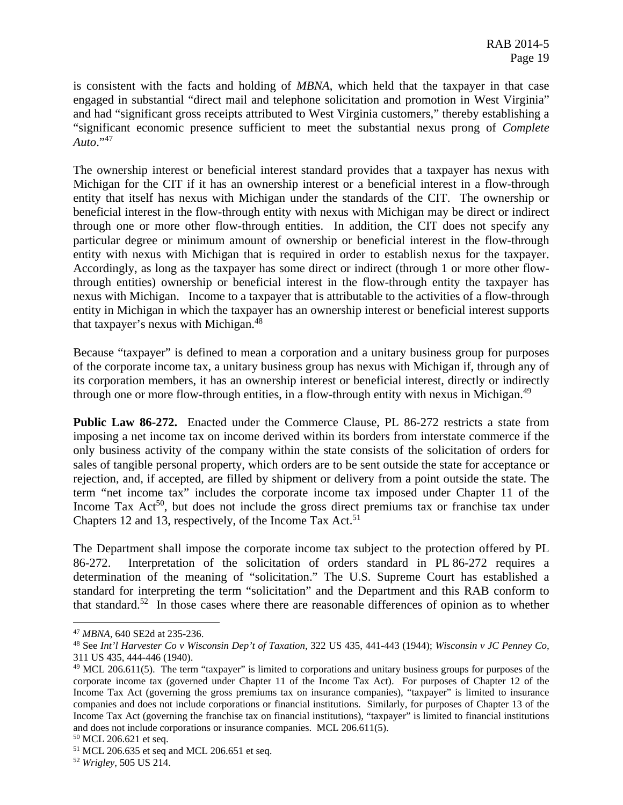*Auto*."47 is consistent with the facts and holding of *MBNA*, which held that the taxpayer in that case engaged in substantial "direct mail and telephone solicitation and promotion in West Virginia" and had "significant gross receipts attributed to West Virginia customers," thereby establishing a "significant economic presence sufficient to meet the substantial nexus prong of *Complete* 

The ownership interest or beneficial interest standard provides that a taxpayer has nexus with Michigan for the CIT if it has an ownership interest or a beneficial interest in a flow-through entity that itself has nexus with Michigan under the standards of the CIT. The ownership or beneficial interest in the flow-through entity with nexus with Michigan may be direct or indirect through one or more other flow-through entities. In addition, the CIT does not specify any particular degree or minimum amount of ownership or beneficial interest in the flow-through entity with nexus with Michigan that is required in order to establish nexus for the taxpayer. Accordingly, as long as the taxpayer has some direct or indirect (through 1 or more other flowthrough entities) ownership or beneficial interest in the flow-through entity the taxpayer has nexus with Michigan. Income to a taxpayer that is attributable to the activities of a flow-through entity in Michigan in which the taxpayer has an ownership interest or beneficial interest supports that taxpayer's nexus with Michigan.<sup>48</sup>

through one or more flow-through entities, in a flow-through entity with nexus in Michigan.<sup>49</sup> Because "taxpayer" is defined to mean a corporation and a unitary business group for purposes of the corporate income tax, a unitary business group has nexus with Michigan if, through any of its corporation members, it has an ownership interest or beneficial interest, directly or indirectly

Chapters 12 and 13, respectively, of the Income Tax Act.<sup>51</sup> **Public Law 86-272.** Enacted under the Commerce Clause, PL 86-272 restricts a state from imposing a net income tax on income derived within its borders from interstate commerce if the only business activity of the company within the state consists of the solicitation of orders for sales of tangible personal property, which orders are to be sent outside the state for acceptance or rejection, and, if accepted, are filled by shipment or delivery from a point outside the state. The term "net income tax" includes the corporate income tax imposed under Chapter 11 of the Income Tax Act<sup>50</sup>, but does not include the gross direct premiums tax or franchise tax under

The Department shall impose the corporate income tax subject to the protection offered by PL 86-272. Interpretation of the solicitation of orders standard in PL 86-272 requires a determination of the meaning of "solicitation." The U.S. Supreme Court has established a standard for interpreting the term "solicitation" and the Department and this RAB conform to that standard.<sup>52</sup> In those cases where there are reasonable differences of opinion as to whether

<sup>&</sup>lt;sup>47</sup> MBNA, 640 SE2d at 235-236.<br><sup>48</sup> See *Int'l Harvester Co v Wisconsin Dep't of Taxation, 322 US 435, 441-443 (1944); Wisconsin v JC Penney Co,* 311 US 435, 444-446 (1940).

 $49$  MCL 206.611(5). The term "taxpayer" is limited to corporations and unitary business groups for purposes of the corporate income tax (governed under Chapter 11 of the Income Tax Act). For purposes of Chapter 12 of the Income Tax Act (governing the gross premiums tax on insurance companies), "taxpayer" is limited to insurance companies and does not include corporations or financial institutions. Similarly, for purposes of Chapter 13 of the Income Tax Act (governing the franchise tax on financial institutions), "taxpayer" is limited to financial institutions and does not include corporations or insurance companies. MCL 206.611(5).

<sup>50</sup> MCL 206.621 et seq.

<sup>51</sup> MCL 206.635 et seq and MCL 206.651 et seq.

<sup>52</sup> *Wrigley*, 505 US 214.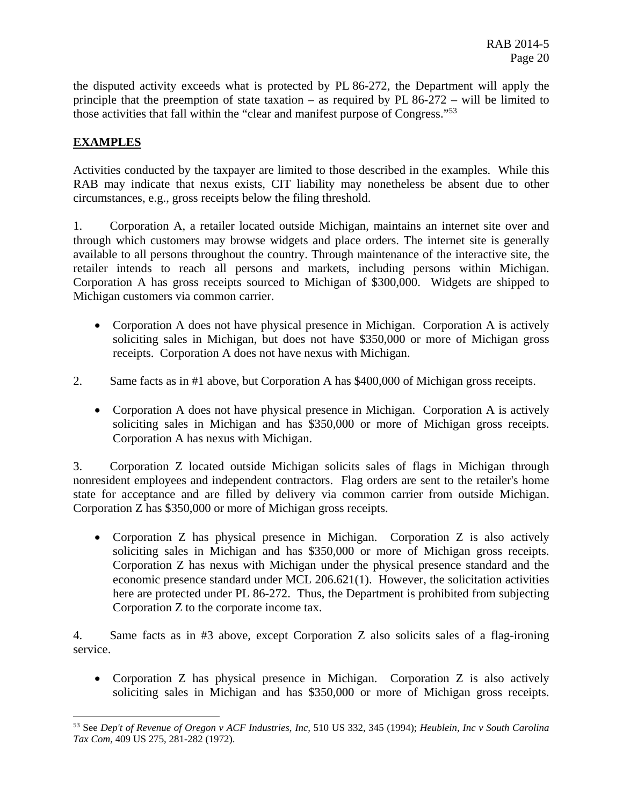those activities that fall within the "clear and manifest purpose of Congress."<sup>53</sup> the disputed activity exceeds what is protected by PL 86-272, the Department will apply the principle that the preemption of state taxation – as required by PL 86-272 – will be limited to

## **EXAMPLES**

<u>.</u>

Activities conducted by the taxpayer are limited to those described in the examples. While this RAB may indicate that nexus exists, CIT liability may nonetheless be absent due to other circumstances, e.g., gross receipts below the filing threshold.

retailer intends to reach all persons and markets, including persons within Michigan. 1. Corporation A, a retailer located outside Michigan, maintains an internet site over and through which customers may browse widgets and place orders. The internet site is generally available to all persons throughout the country. Through maintenance of the interactive site, the Corporation A has gross receipts sourced to Michigan of \$300,000. Widgets are shipped to Michigan customers via common carrier.

- Corporation A does not have physical presence in Michigan. Corporation A is actively soliciting sales in Michigan, but does not have \$350,000 or more of Michigan gross receipts. Corporation A does not have nexus with Michigan.
- 2. Same facts as in #1 above, but Corporation A has \$400,000 of Michigan gross receipts.
	- Corporation A does not have physical presence in Michigan. Corporation A is actively soliciting sales in Michigan and has \$350,000 or more of Michigan gross receipts. Corporation A has nexus with Michigan.

3. Corporation Z located outside Michigan solicits sales of flags in Michigan through nonresident employees and independent contractors. Flag orders are sent to the retailer's home state for acceptance and are filled by delivery via common carrier from outside Michigan. Corporation Z has \$350,000 or more of Michigan gross receipts.

 Corporation Z has physical presence in Michigan. Corporation Z is also actively soliciting sales in Michigan and has \$350,000 or more of Michigan gross receipts. Corporation Z has nexus with Michigan under the physical presence standard and the economic presence standard under MCL 206.621(1). However, the solicitation activities here are protected under PL 86-272. Thus, the Department is prohibited from subjecting Corporation Z to the corporate income tax.

4. Same facts as in #3 above, except Corporation Z also solicits sales of a flag-ironing service.

 Corporation Z has physical presence in Michigan. Corporation Z is also actively soliciting sales in Michigan and has \$350,000 or more of Michigan gross receipts.

<sup>53</sup> See *Dep't of Revenue of Oregon v ACF Industries, Inc,* 510 US 332, 345 (1994); *Heublein, Inc v South Carolina Tax Com,* 409 US 275, 281-282 (1972).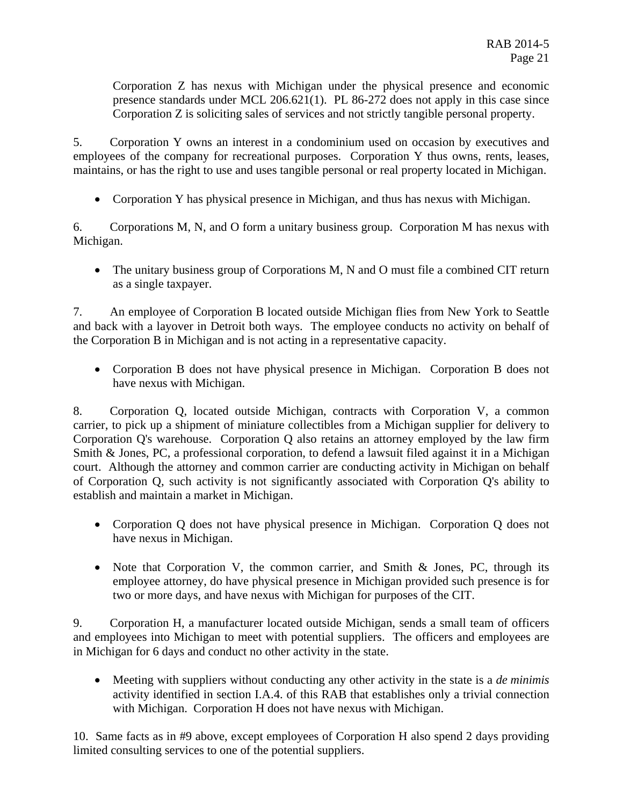Corporation Z has nexus with Michigan under the physical presence and economic presence standards under MCL 206.621(1). PL 86-272 does not apply in this case since Corporation Z is soliciting sales of services and not strictly tangible personal property.

5. Corporation Y owns an interest in a condominium used on occasion by executives and employees of the company for recreational purposes. Corporation Y thus owns, rents, leases, maintains, or has the right to use and uses tangible personal or real property located in Michigan.

Corporation Y has physical presence in Michigan, and thus has nexus with Michigan.

6. Corporations M, N, and O form a unitary business group. Corporation M has nexus with Michigan.

• The unitary business group of Corporations M, N and O must file a combined CIT return as a single taxpayer.

7. An employee of Corporation B located outside Michigan flies from New York to Seattle and back with a layover in Detroit both ways. The employee conducts no activity on behalf of the Corporation B in Michigan and is not acting in a representative capacity.

 Corporation B does not have physical presence in Michigan. Corporation B does not have nexus with Michigan.

8. Corporation Q, located outside Michigan, contracts with Corporation V, a common carrier, to pick up a shipment of miniature collectibles from a Michigan supplier for delivery to Corporation Q's warehouse. Corporation Q also retains an attorney employed by the law firm Smith & Jones, PC, a professional corporation, to defend a lawsuit filed against it in a Michigan court. Although the attorney and common carrier are conducting activity in Michigan on behalf of Corporation Q, such activity is not significantly associated with Corporation Q's ability to establish and maintain a market in Michigan.

- Corporation Q does not have physical presence in Michigan. Corporation Q does not have nexus in Michigan.
- Note that Corporation V, the common carrier, and Smith & Jones, PC, through its employee attorney, do have physical presence in Michigan provided such presence is for two or more days, and have nexus with Michigan for purposes of the CIT.

9. Corporation H, a manufacturer located outside Michigan, sends a small team of officers and employees into Michigan to meet with potential suppliers. The officers and employees are in Michigan for 6 days and conduct no other activity in the state.

 Meeting with suppliers without conducting any other activity in the state is a *de minimis*  activity identified in section I.A.4. of this RAB that establishes only a trivial connection with Michigan. Corporation H does not have nexus with Michigan.

10. Same facts as in #9 above, except employees of Corporation H also spend 2 days providing limited consulting services to one of the potential suppliers.